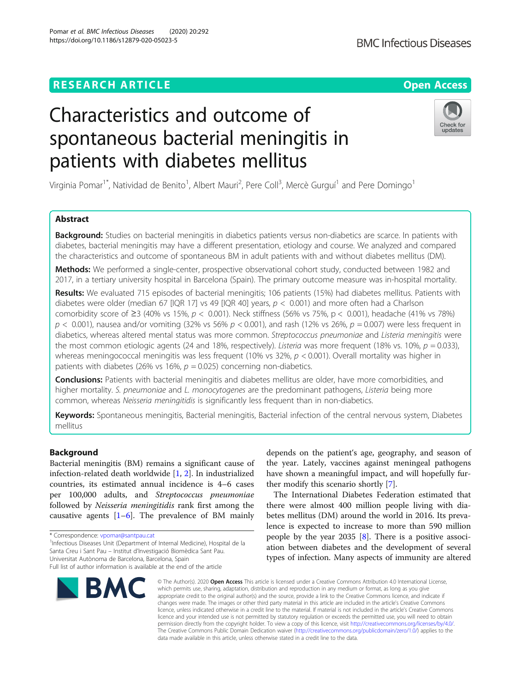# Characteristics and outcome of spontaneous bacterial meningitis in patients with diabetes mellitus

Virginia Pomar<sup>1\*</sup>, Natividad de Benito<sup>1</sup>, Albert Mauri<sup>2</sup>, Pere Coll<sup>3</sup>, Mercè Gurguí<sup>1</sup> and Pere Domingo<sup>1</sup>

# Abstract

Background: Studies on bacterial meningitis in diabetics patients versus non-diabetics are scarce. In patients with diabetes, bacterial meningitis may have a different presentation, etiology and course. We analyzed and compared the characteristics and outcome of spontaneous BM in adult patients with and without diabetes mellitus (DM).

Methods: We performed a single-center, prospective observational cohort study, conducted between 1982 and 2017, in a tertiary university hospital in Barcelona (Spain). The primary outcome measure was in-hospital mortality.

Results: We evaluated 715 episodes of bacterial meningitis; 106 patients (15%) had diabetes mellitus. Patients with diabetes were older (median 67 [IQR 17] vs 49 [IQR 40] years,  $p < 0.001$ ) and more often had a Charlson comorbidity score of  $\geq 3$  (40% vs 15%,  $p < 0.001$ ). Neck stiffness (56% vs 75%,  $p < 0.001$ ), headache (41% vs 78%)  $p < 0.001$ ), nausea and/or vomiting (32% vs 56%  $p < 0.001$ ), and rash (12% vs 26%,  $p = 0.007$ ) were less frequent in diabetics, whereas altered mental status was more common. Streptococcus pneumoniae and Listeria meningitis were the most common etiologic agents (24 and 18%, respectively). Listeria was more frequent (18% vs. 10%,  $p = 0.033$ ), whereas meningococcal meningitis was less frequent (10% vs 32%,  $p < 0.001$ ). Overall mortality was higher in patients with diabetes (26% vs 16%,  $p = 0.025$ ) concerning non-diabetics.

**Conclusions:** Patients with bacterial meningitis and diabetes mellitus are older, have more comorbidities, and higher mortality. S. pneumoniae and L. monocytogenes are the predominant pathogens, Listeria being more common, whereas Neisseria meningitidis is significantly less frequent than in non-diabetics.

Keywords: Spontaneous meningitis, Bacterial meningitis, Bacterial infection of the central nervous system, Diabetes mellitus

# Background

Bacterial meningitis (BM) remains a significant cause of infection-related death worldwide [[1,](#page-7-0) [2\]](#page-7-0). In industrialized countries, its estimated annual incidence is 4–6 cases per 100,000 adults, and Streptococcus pneumoniae followed by Neisseria meningitidis rank first among the causative agents [\[1](#page-7-0)–[6\]](#page-7-0). The prevalence of BM mainly

<sup>1</sup>Infectious Diseases Unit (Department of Internal Medicine), Hospital de la Santa Creu i Sant Pau – Institut d'Investigació Biomèdica Sant Pau. Universitat Autònoma de Barcelona, Barcelona, Spain

# **RESEARCH ARTICLE Example 2014 12:30 The Contract of Contract ACCESS**

© The Author(s), 2020 **Open Access** This article is licensed under a Creative Commons Attribution 4.0 International License, which permits use, sharing, adaptation, distribution and reproduction in any medium or format, as long as you give appropriate credit to the original author(s) and the source, provide a link to the Creative Commons licence, and indicate if changes were made. The images or other third party material in this article are included in the article's Creative Commons licence, unless indicated otherwise in a credit line to the material. If material is not included in the article's Creative Commons licence and your intended use is not permitted by statutory regulation or exceeds the permitted use, you will need to obtain permission directly from the copyright holder. To view a copy of this licence, visit [http://creativecommons.org/licenses/by/4.0/.](http://creativecommons.org/licenses/by/4.0/) The Creative Commons Public Domain Dedication waiver [\(http://creativecommons.org/publicdomain/zero/1.0/](http://creativecommons.org/publicdomain/zero/1.0/)) applies to the data made available in this article, unless otherwise stated in a credit line to the data.

depends on the patient's age, geography, and season of the year. Lately, vaccines against meningeal pathogens have shown a meaningful impact, and will hopefully further modify this scenario shortly [\[7](#page-7-0)].

The International Diabetes Federation estimated that there were almost 400 million people living with diabetes mellitus (DM) around the world in 2016. Its prevalence is expected to increase to more than 590 million people by the year 2035  $[8]$ . There is a positive association between diabetes and the development of several types of infection. Many aspects of immunity are altered







<sup>\*</sup> Correspondence: [vpomar@santpau.cat](mailto:vpomar@santpau.cat) <sup>1</sup>

Full list of author information is available at the end of the article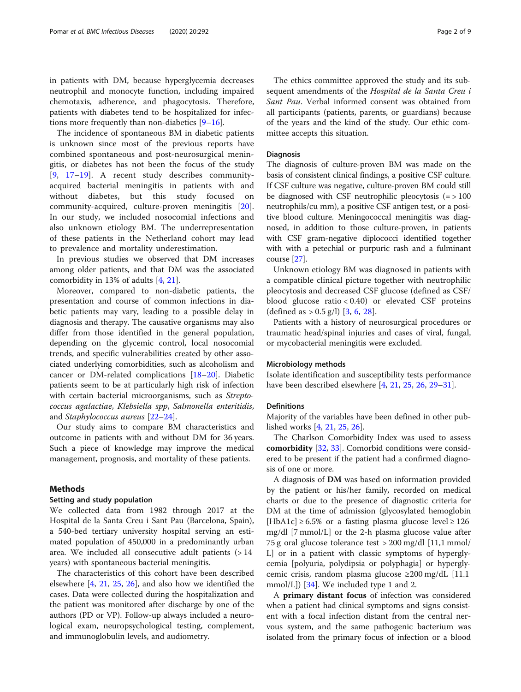The incidence of spontaneous BM in diabetic patients is unknown since most of the previous reports have combined spontaneous and post-neurosurgical meningitis, or diabetes has not been the focus of the study [[9,](#page-7-0) [17](#page-7-0)–[19](#page-8-0)]. A recent study describes communityacquired bacterial meningitis in patients with and without diabetes, but this study focused on community-acquired, culture-proven meningitis [\[20](#page-8-0)]. In our study, we included nosocomial infections and also unknown etiology BM. The underrepresentation of these patients in the Netherland cohort may lead to prevalence and mortality underestimation.

In previous studies we observed that DM increases among older patients, and that DM was the associated comorbidity in 13% of adults [\[4](#page-7-0), [21\]](#page-8-0).

Moreover, compared to non-diabetic patients, the presentation and course of common infections in diabetic patients may vary, leading to a possible delay in diagnosis and therapy. The causative organisms may also differ from those identified in the general population, depending on the glycemic control, local nosocomial trends, and specific vulnerabilities created by other associated underlying comorbidities, such as alcoholism and cancer or DM-related complications [[18](#page-8-0)–[20](#page-8-0)]. Diabetic patients seem to be at particularly high risk of infection with certain bacterial microorganisms, such as Streptococcus agalactiae, Klebsiella spp, Salmonella enteritidis, and Staphylococcus aureus [[22](#page-8-0)–[24](#page-8-0)].

Our study aims to compare BM characteristics and outcome in patients with and without DM for 36 years. Such a piece of knowledge may improve the medical management, prognosis, and mortality of these patients.

# Methods

### Setting and study population

We collected data from 1982 through 2017 at the Hospital de la Santa Creu i Sant Pau (Barcelona, Spain), a 540-bed tertiary university hospital serving an estimated population of 450,000 in a predominantly urban area. We included all consecutive adult patients  $(>14)$ years) with spontaneous bacterial meningitis.

The characteristics of this cohort have been described elsewhere [\[4,](#page-7-0) [21](#page-8-0), [25,](#page-8-0) [26](#page-8-0)], and also how we identified the cases. Data were collected during the hospitalization and the patient was monitored after discharge by one of the authors (PD or VP). Follow-up always included a neurological exam, neuropsychological testing, complement, and immunoglobulin levels, and audiometry.

The ethics committee approved the study and its subsequent amendments of the Hospital de la Santa Creu i Sant Pau. Verbal informed consent was obtained from all participants (patients, parents, or guardians) because of the years and the kind of the study. Our ethic committee accepts this situation.

# Diagnosis

The diagnosis of culture-proven BM was made on the basis of consistent clinical findings, a positive CSF culture. If CSF culture was negative, culture-proven BM could still be diagnosed with CSF neutrophilic pleocytosis  $(=$  > 100 neutrophils/cu mm), a positive CSF antigen test, or a positive blood culture. Meningococcal meningitis was diagnosed, in addition to those culture-proven, in patients with CSF gram-negative diplococci identified together with with a petechial or purpuric rash and a fulminant course [[27](#page-8-0)].

Unknown etiology BM was diagnosed in patients with a compatible clinical picture together with neutrophilic pleocytosis and decreased CSF glucose (defined as CSF/ blood glucose ratio  $< 0.40$ ) or elevated CSF proteins (defined as  $> 0.5$  g/l) [[3](#page-7-0), [6](#page-7-0), [28](#page-8-0)].

Patients with a history of neurosurgical procedures or traumatic head/spinal injuries and cases of viral, fungal, or mycobacterial meningitis were excluded.

#### Microbiology methods

Isolate identification and susceptibility tests performance have been described elsewhere [\[4](#page-7-0), [21,](#page-8-0) [25,](#page-8-0) [26,](#page-8-0) [29](#page-8-0)–[31](#page-8-0)].

#### Definitions

Majority of the variables have been defined in other published works [[4,](#page-7-0) [21,](#page-8-0) [25,](#page-8-0) [26\]](#page-8-0).

The Charlson Comorbidity Index was used to assess comorbidity [[32](#page-8-0), [33](#page-8-0)]. Comorbid conditions were considered to be present if the patient had a confirmed diagnosis of one or more.

A diagnosis of DM was based on information provided by the patient or his/her family, recorded on medical charts or due to the presence of diagnostic criteria for DM at the time of admission (glycosylated hemoglobin [HbA1c]  $\geq$  6.5% or a fasting plasma glucose level  $\geq$  126 mg/dl [7 mmol/L] or the 2-h plasma glucose value after 75 g oral glucose tolerance test > 200 mg/dl [11,1 mmol/ L] or in a patient with classic symptoms of hyperglycemia [polyuria, polydipsia or polyphagia] or hyperglycemic crisis, random plasma glucose ≥200 mg/dL [11.1 mmol/L])  $[34]$  $[34]$ . We included type 1 and 2.

A primary distant focus of infection was considered when a patient had clinical symptoms and signs consistent with a focal infection distant from the central nervous system, and the same pathogenic bacterium was isolated from the primary focus of infection or a blood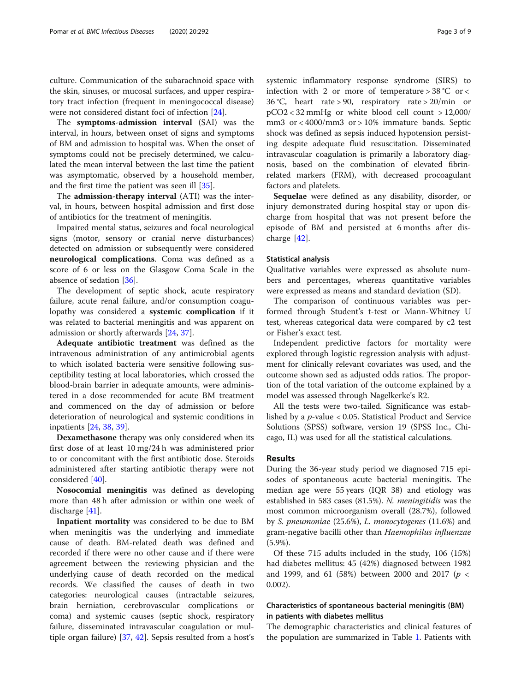culture. Communication of the subarachnoid space with the skin, sinuses, or mucosal surfaces, and upper respiratory tract infection (frequent in meningococcal disease) were not considered distant foci of infection [\[24\]](#page-8-0).

The symptoms-admission interval (SAI) was the interval, in hours, between onset of signs and symptoms of BM and admission to hospital was. When the onset of symptoms could not be precisely determined, we calculated the mean interval between the last time the patient was asymptomatic, observed by a household member, and the first time the patient was seen ill [[35](#page-8-0)].

The admission-therapy interval (ATI) was the interval, in hours, between hospital admission and first dose of antibiotics for the treatment of meningitis.

Impaired mental status, seizures and focal neurological signs (motor, sensory or cranial nerve disturbances) detected on admission or subsequently were considered neurological complications. Coma was defined as a score of 6 or less on the Glasgow Coma Scale in the absence of sedation [[36](#page-8-0)].

The development of septic shock, acute respiratory failure, acute renal failure, and/or consumption coagulopathy was considered a systemic complication if it was related to bacterial meningitis and was apparent on admission or shortly afterwards [[24,](#page-8-0) [37\]](#page-8-0).

Adequate antibiotic treatment was defined as the intravenous administration of any antimicrobial agents to which isolated bacteria were sensitive following susceptibility testing at local laboratories, which crossed the blood-brain barrier in adequate amounts, were administered in a dose recommended for acute BM treatment and commenced on the day of admission or before deterioration of neurological and systemic conditions in inpatients [[24,](#page-8-0) [38,](#page-8-0) [39\]](#page-8-0).

Dexamethasone therapy was only considered when its first dose of at least 10 mg/24 h was administered prior to or concomitant with the first antibiotic dose. Steroids administered after starting antibiotic therapy were not considered [[40\]](#page-8-0).

Nosocomial meningitis was defined as developing more than 48 h after admission or within one week of discharge [\[41](#page-8-0)].

Inpatient mortality was considered to be due to BM when meningitis was the underlying and immediate cause of death. BM-related death was defined and recorded if there were no other cause and if there were agreement between the reviewing physician and the underlying cause of death recorded on the medical records. We classified the causes of death in two categories: neurological causes (intractable seizures, brain herniation, cerebrovascular complications or coma) and systemic causes (septic shock, respiratory failure, disseminated intravascular coagulation or multiple organ failure) [[37](#page-8-0), [42\]](#page-8-0). Sepsis resulted from a host's systemic inflammatory response syndrome (SIRS) to infection with 2 or more of temperature  $> 38$  °C or < 36 °C, heart rate > 90, respiratory rate > 20/min or pCO2 < 32 mmHg or white blood cell count > 12,000/ mm3 or < 4000/mm3 or > 10% immature bands. Septic shock was defined as sepsis induced hypotension persisting despite adequate fluid resuscitation. Disseminated intravascular coagulation is primarily a laboratory diagnosis, based on the combination of elevated fibrinrelated markers (FRM), with decreased procoagulant factors and platelets.

Sequelae were defined as any disability, disorder, or injury demonstrated during hospital stay or upon discharge from hospital that was not present before the episode of BM and persisted at 6 months after discharge [\[42](#page-8-0)].

# Statistical analysis

Qualitative variables were expressed as absolute numbers and percentages, whereas quantitative variables were expressed as means and standard deviation (SD).

The comparison of continuous variables was performed through Student's t-test or Mann-Whitney U test, whereas categorical data were compared by c2 test or Fisher's exact test.

Independent predictive factors for mortality were explored through logistic regression analysis with adjustment for clinically relevant covariates was used, and the outcome shown sed as adjusted odds ratios. The proportion of the total variation of the outcome explained by a model was assessed through Nagelkerke's R2.

All the tests were two-tailed. Significance was established by a p-value < 0.05. Statistical Product and Service Solutions (SPSS) software, version 19 (SPSS Inc., Chicago, IL) was used for all the statistical calculations.

# Results

During the 36-year study period we diagnosed 715 episodes of spontaneous acute bacterial meningitis. The median age were 55 years (IQR 38) and etiology was established in 583 cases (81.5%). N. meningitidis was the most common microorganism overall (28.7%), followed by S. pneumoniae (25.6%), L. monocytogenes (11.6%) and gram-negative bacilli other than Haemophilus influenzae (5.9%).

Of these 715 adults included in the study, 106 (15%) had diabetes mellitus: 45 (42%) diagnosed between 1982 and 1999, and 61 (58%) between 2000 and 2017 ( $p <$ 0.002).

# Characteristics of spontaneous bacterial meningitis (BM) in patients with diabetes mellitus

The demographic characteristics and clinical features of the population are summarized in Table [1.](#page-3-0) Patients with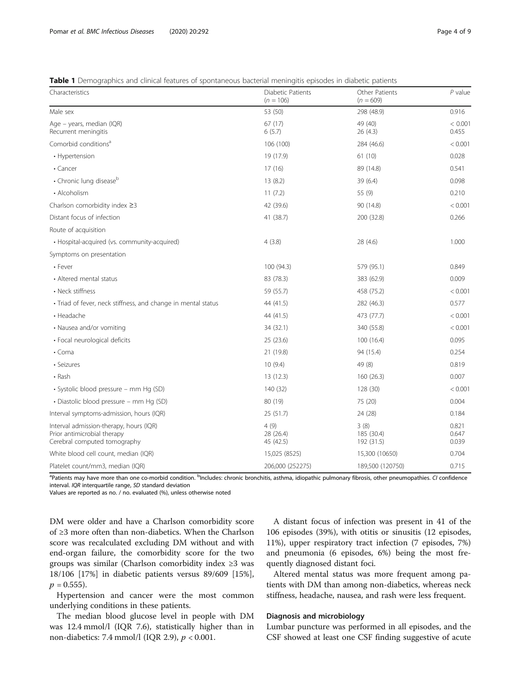<span id="page-3-0"></span>Table 1 Demographics and clinical features of spontaneous bacterial meningitis episodes in diabetic patients

| Characteristics                                                                                        | Diabetic Patients<br>$(n = 106)$ | Other Patients<br>$(n = 609)$    | $P$ value               |
|--------------------------------------------------------------------------------------------------------|----------------------------------|----------------------------------|-------------------------|
| Male sex                                                                                               | 53 (50)                          | 298 (48.9)                       | 0.916                   |
| Age – years, median (IQR)<br>Recurrent meningitis                                                      | 67(17)<br>6(5.7)                 | 49 (40)<br>26(4.3)               | < 0.001<br>0.455        |
| Comorbid conditions <sup>a</sup>                                                                       | 106 (100)                        | 284 (46.6)                       | < 0.001                 |
| • Hypertension                                                                                         | 19 (17.9)                        | 61(10)                           | 0.028                   |
| • Cancer                                                                                               | 17(16)                           | 89 (14.8)                        | 0.541                   |
| • Chronic lung disease <sup>b</sup>                                                                    | 13(8.2)                          | 39 (6.4)                         | 0.098                   |
| • Alcoholism                                                                                           | 11(7.2)                          | 55 (9)                           | 0.210                   |
| Charlson comorbidity index ≥3                                                                          | 42 (39.6)                        | 90 (14.8)                        | < 0.001                 |
| Distant focus of infection                                                                             | 41 (38.7)                        | 200 (32.8)                       | 0.266                   |
| Route of acquisition                                                                                   |                                  |                                  |                         |
| • Hospital-acquired (vs. community-acquired)                                                           | 4(3.8)                           | 28 (4.6)                         | 1.000                   |
| Symptoms on presentation                                                                               |                                  |                                  |                         |
| • Fever                                                                                                | 100 (94.3)                       | 579 (95.1)                       | 0.849                   |
| • Altered mental status                                                                                | 83 (78.3)                        | 383 (62.9)                       | 0.009                   |
| • Neck stiffness                                                                                       | 59 (55.7)                        | 458 (75.2)                       | < 0.001                 |
| · Triad of fever, neck stiffness, and change in mental status                                          | 44 (41.5)                        | 282 (46.3)                       | 0.577                   |
| • Headache                                                                                             | 44 (41.5)                        | 473 (77.7)                       | < 0.001                 |
| • Nausea and/or vomiting                                                                               | 34 (32.1)                        | 340 (55.8)                       | < 0.001                 |
| • Focal neurological deficits                                                                          | 25(23.6)                         | 100(16.4)                        | 0.095                   |
| $\cdot$ Coma                                                                                           | 21 (19.8)                        | 94 (15.4)                        | 0.254                   |
| • Seizures                                                                                             | 10(9.4)                          | 49 (8)                           | 0.819                   |
| • Rash                                                                                                 | 13 (12.3)                        | 160(26.3)                        | 0.007                   |
| · Systolic blood pressure - mm Hg (SD)                                                                 | 140 (32)                         | 128 (30)                         | < 0.001                 |
| · Diastolic blood pressure - mm Hg (SD)                                                                | 80 (19)                          | 75 (20)                          | 0.004                   |
| Interval symptoms-admission, hours (IQR)                                                               | 25 (51.7)                        | 24 (28)                          | 0.184                   |
| Interval admission-therapy, hours (IQR)<br>Prior antimicrobial therapy<br>Cerebral computed tomography | 4(9)<br>28 (26.4)<br>45 (42.5)   | 3(8)<br>185 (30.4)<br>192 (31.5) | 0.821<br>0.647<br>0.039 |
| White blood cell count, median (IQR)                                                                   | 15,025 (8525)                    | 15,300 (10650)                   | 0.704                   |
| Platelet count/mm3, median (IQR)                                                                       | 206,000 (252275)                 | 189,500 (120750)                 | 0.715                   |

<sup>a</sup>Patients may have more than one co-morbid condition. <sup>b</sup>Includes: chronic bronchitis, asthma, idiopathic pulmonary fibrosis, other pneumopathies. CI confidence interval. IQR interquartile range, SD standard deviation

Values are reported as no. / no. evaluated (%), unless otherwise noted

DM were older and have a Charlson comorbidity score of ≥3 more often than non-diabetics. When the Charlson score was recalculated excluding DM without and with end-organ failure, the comorbidity score for the two groups was similar (Charlson comorbidity index ≥3 was 18/106 [17%] in diabetic patients versus 89/609 [15%],  $p = 0.555$ ).

Hypertension and cancer were the most common underlying conditions in these patients.

The median blood glucose level in people with DM was 12.4 mmol/l (IQR 7.6), statistically higher than in non-diabetics: 7.4 mmol/l (IQR 2.9),  $p < 0.001$ .

A distant focus of infection was present in 41 of the 106 episodes (39%), with otitis or sinusitis (12 episodes, 11%), upper respiratory tract infection (7 episodes, 7%) and pneumonia (6 episodes, 6%) being the most frequently diagnosed distant foci.

Altered mental status was more frequent among patients with DM than among non-diabetics, whereas neck stiffness, headache, nausea, and rash were less frequent.

# Diagnosis and microbiology

Lumbar puncture was performed in all episodes, and the CSF showed at least one CSF finding suggestive of acute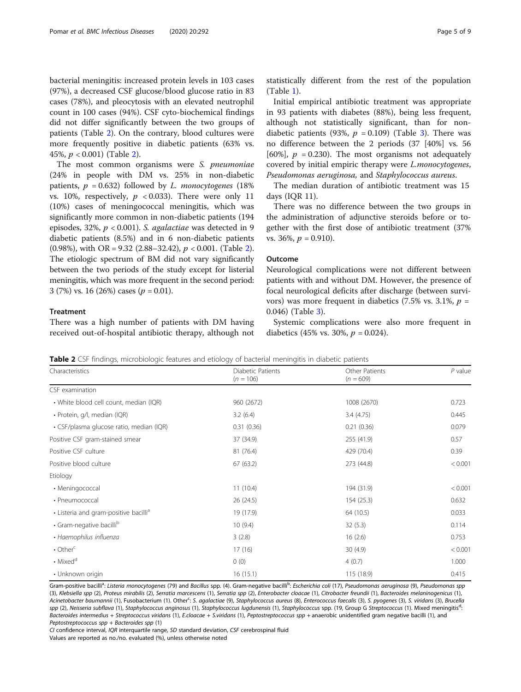bacterial meningitis: increased protein levels in 103 cases (97%), a decreased CSF glucose/blood glucose ratio in 83 cases (78%), and pleocytosis with an elevated neutrophil count in 100 cases (94%). CSF cyto-biochemical findings did not differ significantly between the two groups of patients (Table 2). On the contrary, blood cultures were more frequently positive in diabetic patients (63% vs. 45%, p < 0.001) (Table 2).

The most common organisms were S. *pneumoniae* (24% in people with DM vs. 25% in non-diabetic patients,  $p = 0.632$ ) followed by L. monocytogenes (18%) vs. 10%, respectively,  $p < 0.033$ ). There were only 11 (10%) cases of meningococcal meningitis, which was significantly more common in non-diabetic patients (194 episodes, 32%,  $p < 0.001$ ). S. agalactiae was detected in 9 diabetic patients (8.5%) and in 6 non-diabetic patients (0.98%), with OR = 9.32 (2.88–32.42),  $p < 0.001$ . (Table 2). The etiologic spectrum of BM did not vary significantly between the two periods of the study except for listerial meningitis, which was more frequent in the second period: 3 (7%) vs. 16 (26%) cases ( $p = 0.01$ ).

## **Treatment**

There was a high number of patients with DM having received out-of-hospital antibiotic therapy, although not statistically different from the rest of the population (Table [1\)](#page-3-0).

Initial empirical antibiotic treatment was appropriate in 93 patients with diabetes (88%), being less frequent, although not statistically significant, than for non-diabetic patients (9[3](#page-5-0)%,  $p = 0.109$ ) (Table 3). There was no difference between the 2 periods (37 [40%] vs. 56 [60%],  $p = 0.230$ ]. The most organisms not adequately covered by initial empiric therapy were L.monocytogenes, Pseudomonas aeruginosa, and Staphylococcus aureus.

The median duration of antibiotic treatment was 15 days (IQR 11).

There was no difference between the two groups in the administration of adjunctive steroids before or together with the first dose of antibiotic treatment (37% vs. 36%,  $p = 0.910$ ).

# Outcome

Neurological complications were not different between patients with and without DM. However, the presence of focal neurological deficits after discharge (between survivors) was more frequent in diabetics (7.5% vs. 3.1%,  $p =$ 0.046) (Table [3\)](#page-5-0).

Systemic complications were also more frequent in diabetics (45% vs. 30%,  $p = 0.024$ ).

|  |  | Table 2 CSF findings, microbiologic features and etiology of bacterial meningitis in diabetic patients |  |  |
|--|--|--------------------------------------------------------------------------------------------------------|--|--|
|--|--|--------------------------------------------------------------------------------------------------------|--|--|

Gram-positive bacilli<sup>a</sup>: Listeria monocytogenes (79) and Bacillus spp. (4). Gram-negative bacilli<sup>b</sup>: Escherichia coli (17), Pseudomonas aeruginosa (9), Pseudomonas spp (3), Klebsiella spp (2), Proteus mirabilis (2), Serratia marcescens (1), Serratia spp (2), Enterobacter cloacae (1), Citrobacter freundii (1), Bacteroides melaninogenicus (1), Acinetobacter baumannii (1), Fusobacterium (1). Other<sup>c</sup>: S. agalactiae (9), Staphylococcus aureus (8), Enterococcus faecalis (3), S. pyogenes (3), S. viridans (3), Brucella spp (2), Neisseria subflava (1), Staphylococcus anginosus (1), Staphylococcus lugdunensis (1), Staphylococcus spp. (19, Group G Streptococcus (1). Mixed meningitis<sup>d</sup>: : Bacteroides intermedius + Streptococcus viridans (1), E.cloacae + S.viridans (1), Peptostreptococcus spp + anaerobic unidentified gram negative bacilli (1), and Peptostreptococcus spp + Bacteroides spp (1)

CI confidence interval, IQR interquartile range, SD standard deviation, CSF cerebrospinal fluid Values are reported as no./no. evaluated (%), unless otherwise noted

| Characteristics                                   | Diabetic Patients<br>$(n = 106)$ | Other Patients<br>$(n = 609)$ | $P$ value |
|---------------------------------------------------|----------------------------------|-------------------------------|-----------|
| CSF examination                                   |                                  |                               |           |
| • White blood cell count, median (IQR)            | 960 (2672)                       | 1008 (2670)                   | 0.723     |
| • Protein, g/l, median (IQR)                      | 3.2(6.4)                         | 3.4(4.75)                     | 0.445     |
| • CSF/plasma glucose ratio, median (IQR)          | 0.31(0.36)                       | 0.21(0.36)                    | 0.079     |
| Positive CSF gram-stained smear                   | 37 (34.9)                        | 255 (41.9)                    | 0.57      |
| Positive CSF culture                              | 81 (76.4)                        | 429 (70.4)                    | 0.39      |
| Positive blood culture                            | 67 (63.2)                        | 273 (44.8)                    | < 0.001   |
| Etiology                                          |                                  |                               |           |
| • Meningococcal                                   | 11(10.4)                         | 194 (31.9)                    | < 0.001   |
| • Pneumococcal                                    | 26 (24.5)                        | 154(25.3)                     | 0.632     |
| • Listeria and gram-positive bacilli <sup>a</sup> | 19 (17.9)                        | 64 (10.5)                     | 0.033     |
| · Gram-negative bacillib                          | 10(9.4)                          | 32(5.3)                       | 0.114     |
| • Haemophilus influenza                           | 3(2.8)                           | 16(2.6)                       | 0.753     |
| $\cdot$ Other <sup>c</sup>                        | 17(16)                           | 30(4.9)                       | < 0.001   |
| • Mixed <sup>d</sup>                              | 0(0)                             | 4(0.7)                        | 1.000     |
| • Unknown origin                                  | 16(15.1)                         | 115 (18.9)                    | 0.415     |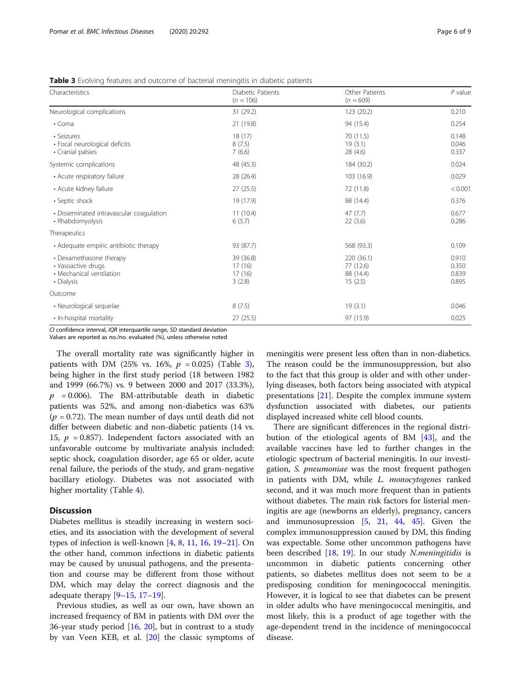| Characteristics                                                                         | Diabetic Patients<br>$(n = 106)$        | Other Patients<br>$(n = 609)$                   | $P$ value                        |
|-----------------------------------------------------------------------------------------|-----------------------------------------|-------------------------------------------------|----------------------------------|
| Neurological complications                                                              | 31 (29.2)                               | 123 (20.2)                                      | 0.210                            |
| $\cdot$ Coma                                                                            | 21 (19.8)                               | 94 (15.4)                                       | 0.254                            |
| • Seizures<br>· Focal neurological deficits<br>• Cranial palsies                        | 18(17)<br>8(7.5)<br>7(6.6)              | 70 (11.5)<br>19(3.1)<br>28(4.6)                 | 0.148<br>0.046<br>0.337          |
| Systemic complications                                                                  | 48 (45.3)                               | 184 (30.2)                                      | 0.024                            |
| • Acute respiratory failure                                                             | 28 (26.4)                               | 103 (16.9)                                      | 0.029                            |
| • Acute kidney failure                                                                  | 27(25.5)                                | 72 (11.8)                                       | < 0.001                          |
| • Septic shock                                                                          | 19 (17.9)                               | 88 (14.4)                                       | 0.376                            |
| • Disseminated intravascular coagulation<br>• Rhabdomyolysis                            | 11(10.4)<br>6(5.7)                      | 47(7.7)<br>22(3.6)                              | 0.677<br>0.286                   |
| Therapeutics                                                                            |                                         |                                                 |                                  |
| • Adequate empiric antibiotic therapy                                                   | 93 (87.7)                               | 568 (93.3)                                      | 0.109                            |
| • Dexamethasone therapy<br>• Vasoactive drugs<br>• Mechanical ventilation<br>• Dialysis | 39 (36.8)<br>17(16)<br>17(16)<br>3(2.8) | 220 (36.1)<br>77 (12.6)<br>88 (14.4)<br>15(2.5) | 0.910<br>0.350<br>0.839<br>0.895 |
| Outcome                                                                                 |                                         |                                                 |                                  |
| • Neurological sequelae                                                                 | 8(7.5)                                  | 19(3.1)                                         | 0.046                            |
| • In-hospital mortality                                                                 | 27(25.5)                                | 97 (15.9)                                       | 0.025                            |

<span id="page-5-0"></span>Table 3 Evolving features and outcome of bacterial meningitis in diabetic patients

CI confidence interval, IQR interquartile range, SD standard deviation

Values are reported as no./no. evaluated (%), unless otherwise noted

The overall mortality rate was significantly higher in patients with DM (25% vs. 16%,  $p = 0.025$ ) (Table 3), being higher in the first study period (18 between 1982 and 1999 (66.7%) vs. 9 between 2000 and 2017 (33.3%),  $p = 0.006$ ). The BM-attributable death in diabetic patients was 52%, and among non-diabetics was 63%  $(p = 0.72)$ . The mean number of days until death did not differ between diabetic and non-diabetic patients (14 vs. 15,  $p = 0.857$ ). Independent factors associated with an unfavorable outcome by multivariate analysis included: septic shock, coagulation disorder, age 65 or older, acute renal failure, the periods of the study, and gram-negative bacillary etiology. Diabetes was not associated with higher mortality (Table [4\)](#page-6-0).

# **Discussion**

Diabetes mellitus is steadily increasing in western societies, and its association with the development of several types of infection is well-known [[4,](#page-7-0) [8,](#page-7-0) [11](#page-7-0), [16](#page-7-0), [19](#page-8-0)–[21](#page-8-0)]. On the other hand, common infections in diabetic patients may be caused by unusual pathogens, and the presentation and course may be different from those without DM, which may delay the correct diagnosis and the adequate therapy [[9](#page-7-0)–[15](#page-7-0), [17](#page-7-0)–[19](#page-8-0)].

Previous studies, as well as our own, have shown an increased frequency of BM in patients with DM over the 36-year study period [[16,](#page-7-0) [20](#page-8-0)], but in contrast to a study by van Veen KEB, et al. [[20\]](#page-8-0) the classic symptoms of

meningitis were present less often than in non-diabetics. The reason could be the immunosuppression, but also to the fact that this group is older and with other underlying diseases, both factors being associated with atypical presentations [[21\]](#page-8-0). Despite the complex immune system dysfunction associated with diabetes, our patients displayed increased white cell blood counts.

There are significant differences in the regional distribution of the etiological agents of BM [\[43](#page-8-0)], and the available vaccines have led to further changes in the etiologic spectrum of bacterial meningitis. In our investigation, S. *pneumoniae* was the most frequent pathogen in patients with DM, while L. monocytogenes ranked second, and it was much more frequent than in patients without diabetes. The main risk factors for listerial meningitis are age (newborns an elderly), pregnancy, cancers and immunosupression [\[5](#page-7-0), [21](#page-8-0), [44,](#page-8-0) [45\]](#page-8-0). Given the complex immunosuppression caused by DM, this finding was expectable. Some other uncommon pathogens have been described [[18,](#page-8-0) [19](#page-8-0)]. In our study N.meningitidis is uncommon in diabetic patients concerning other patients, so diabetes mellitus does not seem to be a predisposing condition for meningococcal meningitis. However, it is logical to see that diabetes can be present in older adults who have meningococcal meningitis, and most likely, this is a product of age together with the age-dependent trend in the incidence of meningococcal disease.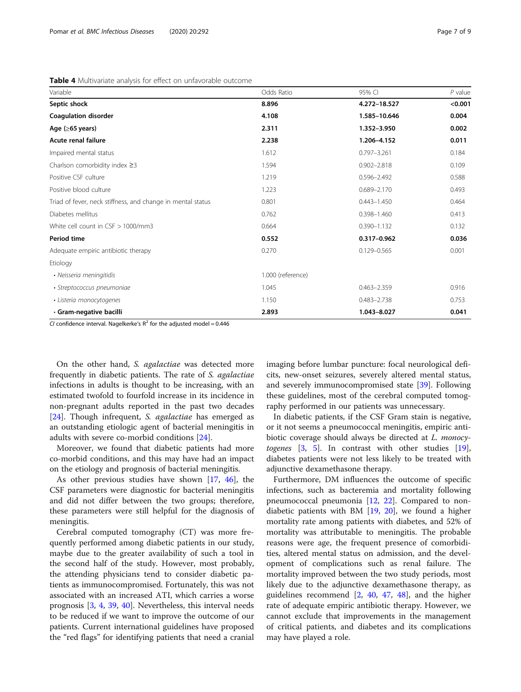<span id="page-6-0"></span>

| Variable                                                    | Odds Ratio        | 95% CI          | $P$ value |
|-------------------------------------------------------------|-------------------|-----------------|-----------|
| Septic shock                                                | 8.896             | 4.272-18.527    | < 0.001   |
| <b>Coagulation disorder</b>                                 | 4.108             | 1.585-10.646    | 0.004     |
| Age $(≥65 \text{ years})$                                   | 2.311             | 1.352-3.950     | 0.002     |
| Acute renal failure                                         | 2.238             | 1.206-4.152     | 0.011     |
| Impaired mental status                                      | 1.612             | $0.797 - 3.261$ | 0.184     |
| Charlson comorbidity index $\geq$ 3                         | 1.594             | $0.902 - 2.818$ | 0.109     |
| Positive CSF culture                                        | 1.219             | $0.596 - 2.492$ | 0.588     |
| Positive blood culture                                      | 1.223             | $0.689 - 2.170$ | 0.493     |
| Triad of fever, neck stiffness, and change in mental status | 0.801             | $0.443 - 1.450$ | 0.464     |
| Diabetes mellitus                                           | 0.762             | $0.398 - 1.460$ | 0.413     |
| White cell count in $CSF > 1000/mm3$                        | 0.664             | $0.390 - 1.132$ | 0.132     |
| Period time                                                 | 0.552             | 0.317-0.962     | 0.036     |
| Adequate empiric antibiotic therapy                         | 0.270             | $0.129 - 0.565$ | 0.001     |
| Etiology                                                    |                   |                 |           |
| • Neisseria meningitidis                                    | 1.000 (reference) |                 |           |
| • Streptococcus pneumoniae                                  | 1.045             | $0.463 - 2.359$ | 0.916     |
| · Listeria monocytogenes                                    | 1.150             | $0.483 - 2.738$ | 0.753     |
| · Gram-negative bacilli                                     | 2.893             | 1.043-8.027     | 0.041     |

CI confidence interval. Nagelkerke's  $R^2$  for the adjusted model = 0.446

On the other hand, S. agalactiae was detected more frequently in diabetic patients. The rate of S. agalactiae infections in adults is thought to be increasing, with an estimated twofold to fourfold increase in its incidence in non-pregnant adults reported in the past two decades [[24\]](#page-8-0). Though infrequent, *S. agalactiae* has emerged as an outstanding etiologic agent of bacterial meningitis in adults with severe co-morbid conditions [[24\]](#page-8-0).

Moreover, we found that diabetic patients had more co-morbid conditions, and this may have had an impact on the etiology and prognosis of bacterial meningitis.

As other previous studies have shown [[17,](#page-7-0) [46](#page-8-0)], the CSF parameters were diagnostic for bacterial meningitis and did not differ between the two groups; therefore, these parameters were still helpful for the diagnosis of meningitis.

Cerebral computed tomography (CT) was more frequently performed among diabetic patients in our study, maybe due to the greater availability of such a tool in the second half of the study. However, most probably, the attending physicians tend to consider diabetic patients as immunocompromised. Fortunately, this was not associated with an increased ATI, which carries a worse prognosis [[3,](#page-7-0) [4](#page-7-0), [39](#page-8-0), [40\]](#page-8-0). Nevertheless, this interval needs to be reduced if we want to improve the outcome of our patients. Current international guidelines have proposed the "red flags" for identifying patients that need a cranial imaging before lumbar puncture: focal neurological deficits, new-onset seizures, severely altered mental status, and severely immunocompromised state [[39](#page-8-0)]. Following these guidelines, most of the cerebral computed tomography performed in our patients was unnecessary.

In diabetic patients, if the CSF Gram stain is negative, or it not seems a pneumococcal meningitis, empiric antibiotic coverage should always be directed at L. monocytogenes [[3,](#page-7-0) [5\]](#page-7-0). In contrast with other studies [\[19](#page-8-0)], diabetes patients were not less likely to be treated with adjunctive dexamethasone therapy.

Furthermore, DM influences the outcome of specific infections, such as bacteremia and mortality following pneumococcal pneumonia [\[12,](#page-7-0) [22\]](#page-8-0). Compared to nondiabetic patients with BM [[19,](#page-8-0) [20](#page-8-0)], we found a higher mortality rate among patients with diabetes, and 52% of mortality was attributable to meningitis. The probable reasons were age, the frequent presence of comorbidities, altered mental status on admission, and the development of complications such as renal failure. The mortality improved between the two study periods, most likely due to the adjunctive dexamethasone therapy, as guidelines recommend [[2,](#page-7-0) [40,](#page-8-0) [47](#page-8-0), [48](#page-8-0)], and the higher rate of adequate empiric antibiotic therapy. However, we cannot exclude that improvements in the management of critical patients, and diabetes and its complications may have played a role.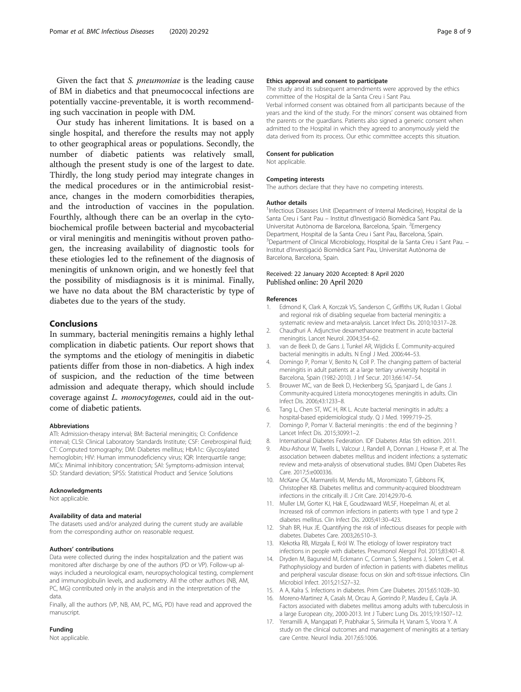<span id="page-7-0"></span>Given the fact that S. pneumoniae is the leading cause of BM in diabetics and that pneumococcal infections are potentially vaccine-preventable, it is worth recommending such vaccination in people with DM.

Our study has inherent limitations. It is based on a single hospital, and therefore the results may not apply to other geographical areas or populations. Secondly, the number of diabetic patients was relatively small, although the present study is one of the largest to date. Thirdly, the long study period may integrate changes in the medical procedures or in the antimicrobial resistance, changes in the modern comorbidities therapies, and the introduction of vaccines in the population. Fourthly, although there can be an overlap in the cytobiochemical profile between bacterial and mycobacterial or viral meningitis and meningitis without proven pathogen, the increasing availability of diagnostic tools for these etiologies led to the refinement of the diagnosis of meningitis of unknown origin, and we honestly feel that the possibility of misdiagnosis is it is minimal. Finally, we have no data about the BM characteristic by type of diabetes due to the years of the study.

# Conclusions

In summary, bacterial meningitis remains a highly lethal complication in diabetic patients. Our report shows that the symptoms and the etiology of meningitis in diabetic patients differ from those in non-diabetics. A high index of suspicion, and the reduction of the time between admission and adequate therapy, which should include coverage against L. monocytogenes, could aid in the outcome of diabetic patients.

#### Abbreviations

ATI: Admission-therapy interval; BM: Bacterial meningitis; CI: Confidence interval; CLSI: Clinical Laboratory Standards Institute; CSF: Cerebrospinal fluid; CT: Computed tomography; DM: Diabetes mellitus; HbA1c: Glycosylated hemoglobin; HIV: Human immunodeficiency virus; IQR: Interquartile range; MICs: Minimal inhibitory concentration; SAI: Symptoms-admission interval; SD: Standard deviation; SPSS: Statistical Product and Service Solutions

#### Acknowledgments

Not applicable.

#### Availability of data and material

The datasets used and/or analyzed during the current study are available from the corresponding author on reasonable request.

#### Authors' contributions

Data were collected during the index hospitalization and the patient was monitored after discharge by one of the authors (PD or VP). Follow-up always included a neurological exam, neuropsychological testing, complement and immunoglobulin levels, and audiometry. All the other authors (NB, AM, PC, MG) contributed only in the analysis and in the interpretation of the data.

Finally, all the authors (VP, NB, AM, PC, MG, PD) have read and approved the manuscript.

# Funding

Not applicable.

#### Ethics approval and consent to participate

The study and its subsequent amendments were approved by the ethics committee of the Hospital de la Santa Creu i Sant Pau.

Verbal informed consent was obtained from all participants because of the years and the kind of the study. For the minors' consent was obtained from the parents or the guardians. Patients also signed a generic consent when admitted to the Hospital in which they agreed to anonymously yield the data derived from its process. Our ethic committee accepts this situation.

#### Consent for publication

Not applicable.

#### Competing interests

The authors declare that they have no competing interests.

#### Author details

<sup>1</sup>Infectious Diseases Unit (Department of Internal Medicine), Hospital de la Santa Creu i Sant Pau – Institut d'Investigació Biomèdica Sant Pau. Universitat Autònoma de Barcelona, Barcelona, Spain. <sup>2</sup>Emergency Department, Hospital de la Santa Creu i Sant Pau, Barcelona, Spain. <sup>3</sup> Department of Clinical Microbiology, Hospital de la Santa Creu i Sant Pau. -Institut d'Investigació Biomèdica Sant Pau, Universitat Autònoma de Barcelona, Barcelona, Spain.

#### Received: 22 January 2020 Accepted: 8 April 2020 Published online: 20 April 2020

#### References

- 1. Edmond K, Clark A, Korczak VS, Sanderson C, Griffiths UK, Rudan I. Global and regional risk of disabling sequelae from bacterial meningitis: a systematic review and meta-analysis. Lancet Infect Dis. 2010;10:317–28.
- 2. Chaudhuri A. Adjunctive dexamethasone treatment in acute bacterial meningitis. Lancet Neurol. 2004;3:54–62.
- 3. van de Beek D, de Gans J, Tunkel AR, Wijdicks E. Community-acquired bacterial meningitis in adults. N Engl J Med. 2006:44–53.
- 4. Domingo P, Pomar V, Benito N, Coll P. The changing pattern of bacterial meningitis in adult patients at a large tertiary university hospital in Barcelona, Spain (1982-2010). J Inf Secur. 2013;66:147–54.
- 5. Brouwer MC, van de Beek D, Heckenberg SG, Spanjaard L, de Gans J. Community-acquired Listeria monocytogenes meningitis in adults. Clin Infect Dis. 2006;43:1233–8.
- 6. Tang L, Chen ST, WC H, RK L. Acute bacterial meningitis in adults: a hospital-based epidemiological study. Q J Med. 1999:719–25.
- 7. Domingo P, Pomar V. Bacterial meningitis : the end of the beginning ? Lancet Infect Dis. 2015;3099:1–2.
- 8. International Diabetes Federation. IDF Diabetes Atlas 5th edition. 2011.
- Abu-Ashour W, Twells L, Valcour J, Randell A, Donnan J, Howse P, et al. The association between diabetes mellitus and incident infections: a systematic review and meta-analysis of observational studies. BMJ Open Diabetes Res Care. 2017;5:e000336.
- 10. McKane CK, Marmarelis M, Mendu ML, Moromizato T, Gibbons FK, Christopher KB. Diabetes mellitus and community-acquired bloodstream infections in the critically ill. J Crit Care. 2014;29:70–6.
- 11. Muller LM, Gorter KJ, Hak E, Goudzwaard WLSF, Hoepelman AI, et al. Increased risk of common infections in patients with type 1 and type 2 diabetes mellitus. Clin Infect Dis. 2005;41:30–423.
- 12. Shah BR, Hux JE. Quantifying the risk of infectious diseases for people with diabetes. Diabetes Care. 2003;26:510–3.
- 13. Klekotka RB, Mizgała E, Król W. The etiology of lower respiratory tract infections in people with diabetes. Pneumonol Alergol Pol. 2015;83:401–8.
- 14. Dryden M, Baguneid M, Eckmann C, Corman S, Stephens J, Solem C, et al. Pathophysiology and burden of infection in patients with diabetes mellitus and peripheral vascular disease: focus on skin and soft-tissue infections. Clin Microbiol Infect. 2015;21:S27–32.
- 15. A A, Kalra S. Infections in diabetes. Prim Care Diabetes. 2015;65:1028–30.
- 16. Moreno-Martinez A, Casals M, Orcau A, Gorrindo P, Masdeu E, Cayla JA. Factors associated with diabetes mellitus among adults with tuberculosis in a large European city, 2000-2013. Int J Tuberc Lung Dis. 2015;19:1507–12.
- 17. Yerramilli A, Mangapati P, Prabhakar S, Sirimulla H, Vanam S, Voora Y. A study on the clinical outcomes and management of meningitis at a tertiary care Centre. Neurol India. 2017;65:1006.